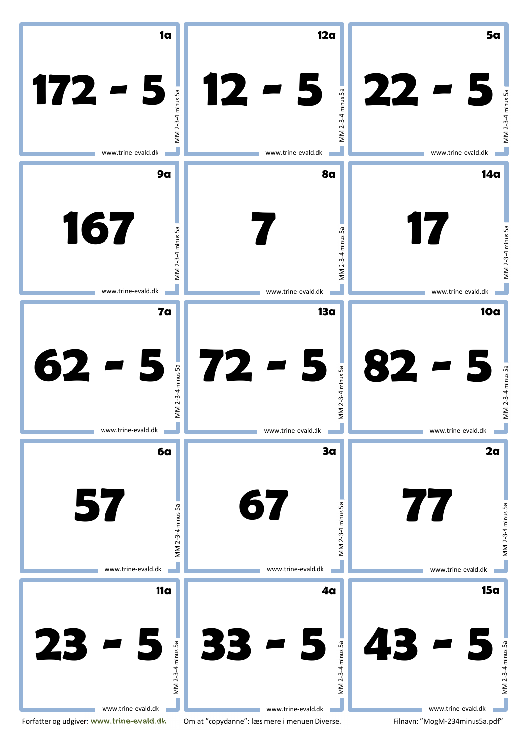